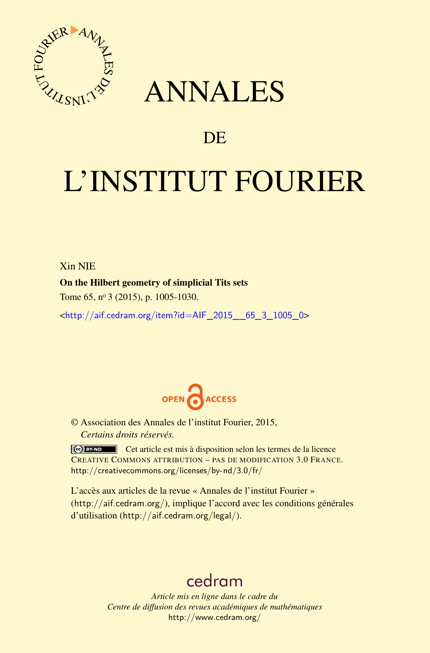

## ANNALES

### **DE**

# L'INSTITUT FOURIER

Xin NIE

#### On the Hilbert geometry of simplicial Tits sets

Tome 65, nº 3 (2015), p. 1005-1030.

 $\kappa$ http://aif.cedram.org/item?id=AIF 2015 65\_3\_1005\_0>



© Association des Annales de l'institut Fourier, 2015, *Certains droits réservés.*

Cet article est mis à disposition selon les termes de la licence CREATIVE COMMONS ATTRIBUTION – PAS DE MODIFICATION 3.0 FRANCE. <http://creativecommons.org/licenses/by-nd/3.0/fr/>

L'accès aux articles de la revue « Annales de l'institut Fourier » (<http://aif.cedram.org/>), implique l'accord avec les conditions générales d'utilisation (<http://aif.cedram.org/legal/>).

## [cedram](http://www.cedram.org/)

*Article mis en ligne dans le cadre du Centre de diffusion des revues académiques de mathématiques* <http://www.cedram.org/>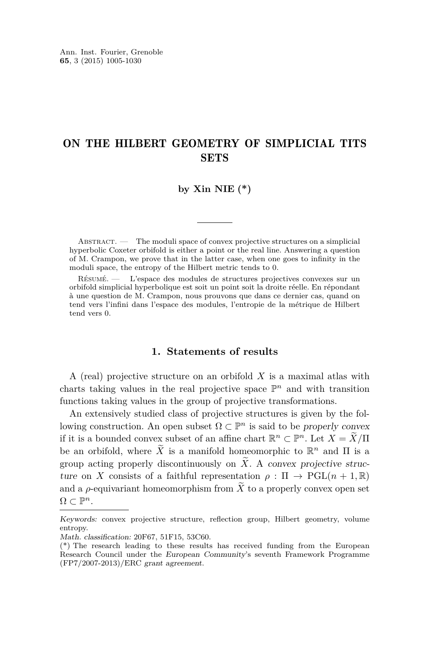#### ON THE HILBERT GEOMETRY OF SIMPLICIAL TITS **SETS**

#### **by Xin NIE (\*)**

ABSTRACT. — The moduli space of convex projective structures on a simplicial hyperbolic Coxeter orbifold is either a point or the real line. Answering a question of M. Crampon, we prove that in the latter case, when one goes to infinity in the moduli space, the entropy of the Hilbert metric tends to 0.

Résumé. — L'espace des modules de structures projectives convexes sur un orbifold simplicial hyperbolique est soit un point soit la droite réelle. En répondant à une question de M. Crampon, nous prouvons que dans ce dernier cas, quand on tend vers l'infini dans l'espace des modules, l'entropie de la métrique de Hilbert tend vers 0.

#### **1. Statements of results**

A (real) projective structure on an orbifold *X* is a maximal atlas with charts taking values in the real projective space  $\mathbb{P}^n$  and with transition functions taking values in the group of projective transformations.

An extensively studied class of projective structures is given by the following construction. An open subset  $\Omega \subset \mathbb{P}^n$  is said to be properly convex if it is a bounded convex subset of an affine chart  $\mathbb{R}^n \subset \mathbb{P}^n$ . Let  $X = \widetilde{X}/\Pi$ be an orbifold, where  $\widetilde{X}$  is a manifold homeomorphic to  $\mathbb{R}^n$  and  $\Pi$  is a group acting properly discontinuously on  $\tilde{X}$ . A convex projective structure on *X* consists of a faithful representation  $\rho : \Pi \to \mathrm{PGL}(n+1,\mathbb{R})$ and a  $\rho$ -equivariant homeomorphism from  $\overline{X}$  to a properly convex open set  $\Omega \subset \mathbb{P}^n$ .

Keywords: convex projective structure, reflection group, Hilbert geometry, volume entropy.

Math. classification: 20F67, 51F15, 53C60.

<sup>(\*)</sup> The research leading to these results has received funding from the European Research Council under the European Community's seventh Framework Programme (FP7/2007-2013)/ERC grant agreement.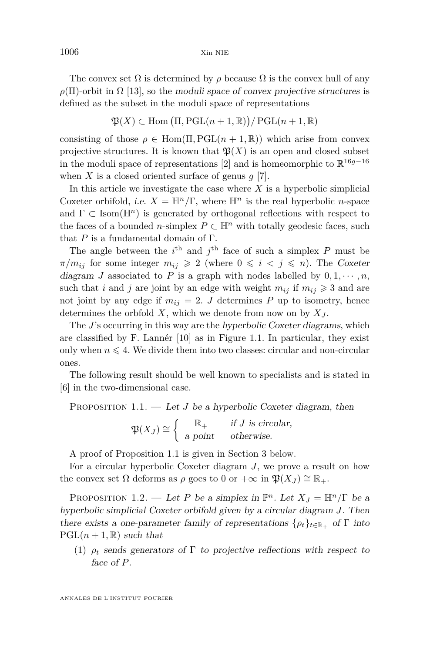<span id="page-2-0"></span>The convex set  $\Omega$  is determined by  $\rho$  because  $\Omega$  is the convex hull of any  $\rho(\Pi)$ -orbit in  $\Omega$  [\[13\]](#page-25-0), so the moduli space of convex projective structures is defined as the subset in the moduli space of representations

$$
\mathfrak{P}(X) \subset \text{Hom}(\Pi, \text{PGL}(n+1,\mathbb{R})) / \text{PGL}(n+1,\mathbb{R})
$$

consisting of those  $\rho \in \text{Hom}(\Pi, \text{PGL}(n+1,\mathbb{R}))$  which arise from convex projective structures. It is known that  $\mathfrak{P}(X)$  is an open and closed subset in the moduli space of representations [\[2\]](#page-25-0) and is homeomorphic to R 16*g*−16 when *X* is a closed oriented surface of genus  $g$  [\[7\]](#page-25-0).

In this article we investigate the case where *X* is a hyperbolic simplicial Coxeter orbifold, i.e.  $X = \mathbb{H}^n/\Gamma$ , where  $\mathbb{H}^n$  is the real hyperbolic *n*-space and  $\Gamma \subset \text{Isom}(\mathbb{H}^n)$  is generated by orthogonal reflections with respect to the faces of a bounded *n*-simplex  $P \subset \mathbb{H}^n$  with totally geodesic faces, such that  $P$  is a fundamental domain of  $\Gamma$ .

The angle between the  $i^{\text{th}}$  and  $j^{\text{th}}$  face of such a simplex *P* must be  $\pi/m_{ij}$  for some integer  $m_{ij} \geq 2$  (where  $0 \leq i \leq j \leq n$ ). The Coxeter diagram *J* associated to *P* is a graph with nodes labelled by  $0, 1, \dots, n$ , such that *i* and *j* are joint by an edge with weight  $m_{ij}$  if  $m_{ij} \geq 3$  and are not joint by any edge if  $m_{ij} = 2$ . *J* determines *P* up to isometry, hence determines the orbfold  $X$ , which we denote from now on by  $X_J$ .

The *J*'s occurring in this way are the *hyperbolic Coxeter diagrams*, which are classified by F. Lannér [\[10\]](#page-25-0) as in Figure [1.1.](#page-3-0) In particular, they exist only when  $n \leq 4$ . We divide them into two classes: circular and non-circular ones.

The following result should be well known to specialists and is stated in [\[6\]](#page-25-0) in the two-dimensional case.

PROPOSITION  $1.1.$  — Let *J* be a hyperbolic Coxeter diagram, then

 $\mathfrak{P}(X_J) \cong \begin{cases} \mathbb{R}_+ & \text{if } J \text{ is circular,} \\ \text{a point} & \text{otherwise.} \end{cases}$ a point otherwise.

A proof of Proposition 1.1 is given in Section [3](#page-9-0) below.

For a circular hyperbolic Coxeter diagram *J*, we prove a result on how the convex set  $\Omega$  deforms as  $\rho$  goes to 0 or  $+\infty$  in  $\mathfrak{P}(X_J) \cong \mathbb{R}_+$ .

PROPOSITION 1.2. — Let *P* be a simplex in  $\mathbb{P}^n$ . Let  $X_J = \mathbb{H}^n/\Gamma$  be a hyperbolic simplicial Coxeter orbifold given by a circular diagram *J*. Then there exists a one-parameter family of representations  $\{\rho_t\}_{t\in\mathbb{R}_+}$  of  $\Gamma$  into  $PGL(n+1,\mathbb{R})$  such that

(1)  $\rho_t$  sends generators of  $\Gamma$  to projective reflections with respect to face of *P*.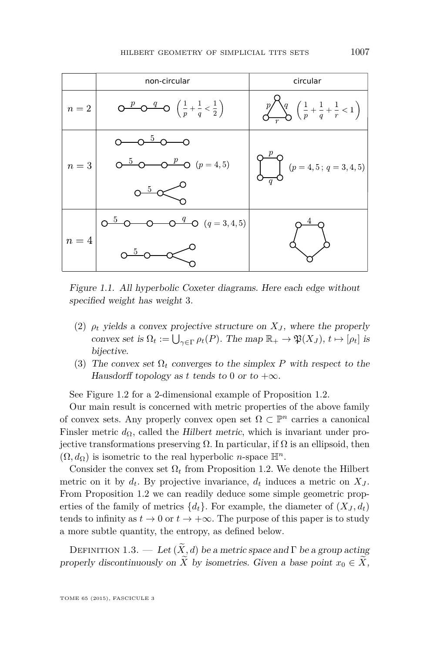<span id="page-3-0"></span>

Figure 1.1. All hyperbolic Coxeter diagrams. Here each edge without specified weight has weight 3.

- (2)  $\rho_t$  yields a convex projective structure on  $X_J$ , where the properly convex set is  $\Omega_t := \bigcup_{\gamma \in \Gamma} \rho_t(P)$ . The map  $\mathbb{R}_+ \to \mathfrak{P}(X_J)$ ,  $t \mapsto [\rho_t]$  is bijective.
- (3) The convex set  $\Omega_t$  converges to the simplex *P* with respect to the Hausdorff topology as t tends to 0 or to  $+\infty$ .

See Figure [1.2](#page-4-0) for a 2-dimensional example of Proposition [1.2.](#page-2-0)

Our main result is concerned with metric properties of the above family of convex sets. Any properly convex open set  $\Omega \subset \mathbb{P}^n$  carries a canonical Finsler metric  $d_{\Omega}$ , called the Hilbert metric, which is invariant under projective transformations preserving  $\Omega$ . In particular, if  $\Omega$  is an ellipsoid, then  $(\Omega, d_{\Omega})$  is isometric to the real hyperbolic *n*-space  $\mathbb{H}^{n}$ .

Consider the convex set  $\Omega_t$  from Proposition [1.2.](#page-2-0) We denote the Hilbert metric on it by  $d_t$ . By projective invariance,  $d_t$  induces a metric on  $X_J$ . From Proposition [1.2](#page-2-0) we can readily deduce some simple geometric properties of the family of metrics  $\{d_t\}$ . For example, the diameter of  $(X_J, d_t)$ tends to infinity as  $t \to 0$  or  $t \to +\infty$ . The purpose of this paper is to study a more subtle quantity, the entropy, as defined below.

DEFINITION 1.3. — Let  $(\widetilde{X}, d)$  be a metric space and  $\Gamma$  be a group acting properly discontinuously on  $\tilde{X}$  by isometries. Given a base point  $x_0 \in \tilde{X}$ ,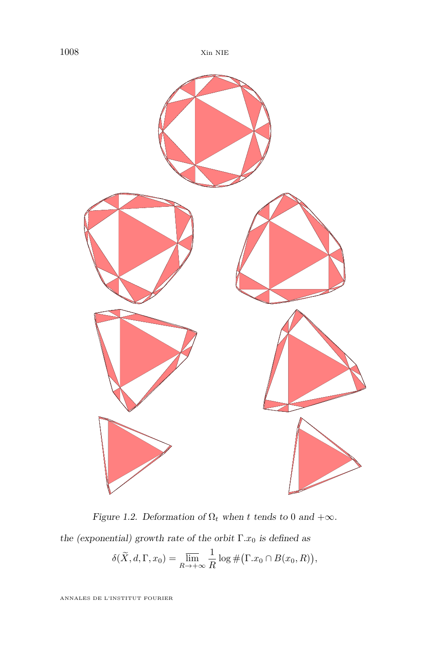<span id="page-4-0"></span>

Figure 1.2. Deformation of  $\Omega_t$  when  $t$  tends to 0 and  $+\infty.$ 

the (exponential) growth rate of the orbit  $\Gamma.x_0$  is defined as

$$
\delta(\widetilde{X}, d, \Gamma, x_0) = \overline{\lim}_{R \to +\infty} \frac{1}{R} \log \# (\Gamma x_0 \cap B(x_0, R)),
$$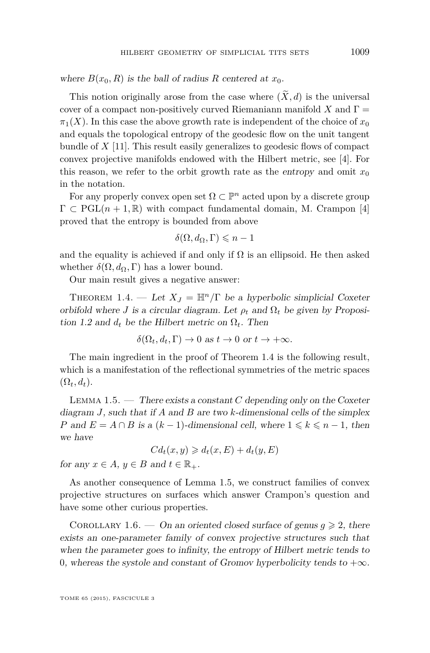<span id="page-5-0"></span>where  $B(x_0, R)$  is the ball of radius R centered at  $x_0$ .

This notion originally arose from the case where  $(\tilde{X}, d)$  is the universal cover of a compact non-positively curved Riemaniann manifold *X* and  $\Gamma$  =  $\pi_1(X)$ . In this case the above growth rate is independent of the choice of  $x_0$ and equals the topological entropy of the geodesic flow on the unit tangent bundle of *X* [\[11\]](#page-25-0). This result easily generalizes to geodesic flows of compact convex projective manifolds endowed with the Hilbert metric, see [\[4\]](#page-25-0). For this reason, we refer to the orbit growth rate as the entropy and omit  $x_0$ in the notation.

For any properly convex open set  $\Omega \subset \mathbb{P}^n$  acted upon by a discrete group  $\Gamma \subset \text{PGL}(n+1,\mathbb{R})$  with compact fundamental domain, M. Crampon [\[4\]](#page-25-0) proved that the entropy is bounded from above

$$
\delta(\Omega, d_{\Omega}, \Gamma) \leqslant n - 1
$$

and the equality is achieved if and only if  $\Omega$  is an ellipsoid. He then asked whether  $\delta(\Omega, d_{\Omega}, \Gamma)$  has a lower bound.

Our main result gives a negative answer:

THEOREM 1.4. — Let  $X_J = \mathbb{H}^n/\Gamma$  be a hyperbolic simplicial Coxeter orbifold where *J* is a circular diagram. Let  $\rho_t$  and  $\Omega_t$  be given by Proposi-tion [1.2](#page-2-0) and  $d_t$  be the Hilbert metric on  $\Omega_t$ . Then

$$
\delta(\Omega_t, d_t, \Gamma) \to 0 \text{ as } t \to 0 \text{ or } t \to +\infty.
$$

The main ingredient in the proof of Theorem 1.4 is the following result, which is a manifestation of the reflectional symmetries of the metric spaces  $(\Omega_t, d_t)$ .

Lemma 1.5. — There exists a constant *C* depending only on the Coxeter diagram *J*, such that if *A* and *B* are two *k*-dimensional cells of the simplex *P* and  $E = A \cap B$  is a  $(k-1)$ -dimensional cell, where  $1 \leq k \leq n-1$ , then we have

 $Cd_t(x, y) \geq d_t(x, E) + d_t(y, E)$ 

for any  $x \in A$ ,  $y \in B$  and  $t \in \mathbb{R}_+$ .

As another consequence of Lemma 1.5, we construct families of convex projective structures on surfaces which answer Crampon's question and have some other curious properties.

COROLLARY 1.6. — On an oriented closed surface of genus  $q \ge 2$ , there exists an one-parameter family of convex projective structures such that when the parameter goes to infinity, the entropy of Hilbert metric tends to 0, whereas the systole and constant of Gromov hyperbolicity tends to  $+\infty$ .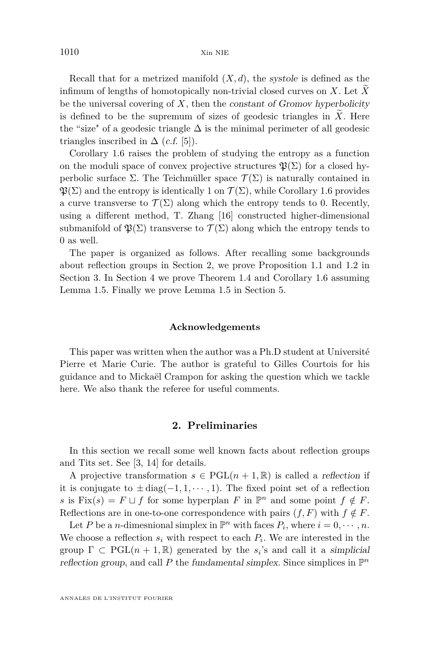<span id="page-6-0"></span>Recall that for a metrized manifold  $(X, d)$ , the systole is defined as the infimum of lengths of homotopically non-trivial closed curves on  $X$ . Let  $\overline{X}$ be the universal covering of *X*, then the constant of Gromov hyperbolicity is defined to be the supremum of sizes of geodesic triangles in  $X$ . Here the "size" of a geodesic triangle  $\Delta$  is the minimal perimeter of all geodesic triangles inscribed in  $\Delta$  (*c.f.* [\[5\]](#page-25-0)).

Corollary [1.6](#page-5-0) raises the problem of studying the entropy as a function on the moduli space of convex projective structures  $\mathfrak{B}(\Sigma)$  for a closed hyperbolic surface  $\Sigma$ . The Teichmüller space  $\mathcal{T}(\Sigma)$  is naturally contained in  $\mathfrak{P}(\Sigma)$  and the entropy is identically 1 on  $\mathcal{T}(\Sigma)$ , while Corollary [1.6](#page-5-0) provides a curve transverse to  $\mathcal{T}(\Sigma)$  along which the entropy tends to 0. Recently, using a different method, T. Zhang [\[16\]](#page-26-0) constructed higher-dimensional submanifold of  $\mathfrak{P}(\Sigma)$  transverse to  $\mathcal{T}(\Sigma)$  along which the entropy tends to 0 as well.

The paper is organized as follows. After recalling some backgrounds about reflection groups in Section 2, we prove Proposition [1.1](#page-2-0) and [1.2](#page-2-0) in Section [3.](#page-9-0) In Section [4](#page-14-0) we prove Theorem [1.4](#page-5-0) and Corollary [1.6](#page-5-0) assuming Lemma [1.5.](#page-5-0) Finally we prove Lemma [1.5](#page-5-0) in Section [5.](#page-17-0)

#### **Acknowledgements**

This paper was written when the author was a Ph.D student at Université Pierre et Marie Curie. The author is grateful to Gilles Courtois for his guidance and to Mickaël Crampon for asking the question which we tackle here. We also thank the referee for useful comments.

#### **2. Preliminaries**

In this section we recall some well known facts about reflection groups and Tits set. See [\[3,](#page-25-0) [14\]](#page-26-0) for details.

A projective transformation  $s \in \text{PGL}(n+1,\mathbb{R})$  is called a reflection if it is conjugate to  $\pm$  diag( $-1, 1, \dots, 1$ ). The fixed point set of a reflection *s* is  $Fix(s) = F \sqcup f$  for some hyperplan *F* in  $\mathbb{P}^n$  and some point  $f \notin F$ . Reflections are in one-to-one correspondence with pairs  $(f, F)$  with  $f \notin F$ .

Let *P* be a *n*-dimesnional simplex in  $\mathbb{P}^n$  with faces  $P_i$ , where  $i = 0, \dots, n$ . We choose a reflection  $s_i$  with respect to each  $P_i$ . We are interested in the group  $\Gamma \subset \text{PGL}(n+1,\mathbb{R})$  generated by the  $s_i$ 's and call it a simplicial reflection group, and call  $P$  the fundamental simplex. Since simplices in  $\mathbb{P}^n$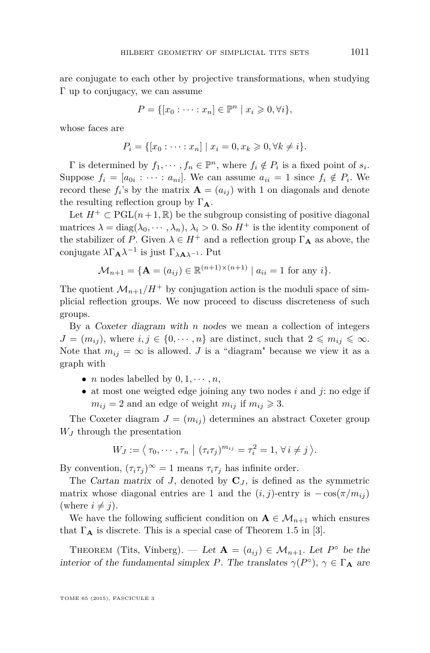are conjugate to each other by projective transformations, when studying Γ up to conjugacy, we can assume

$$
P = \{ [x_0 : \dots : x_n] \in \mathbb{P}^n \mid x_i \geqslant 0, \forall i \},\
$$

whose faces are

$$
P_i = \{ [x_0 : \dots : x_n] \mid x_i = 0, x_k \geq 0, \forall k \neq i \}.
$$

 $\Gamma$  is determined by  $f_1, \dots, f_n \in \mathbb{P}^n$ , where  $f_i \notin P_i$  is a fixed point of  $s_i$ . Suppose  $f_i = [a_{0i} : \cdots : a_{ni}]$ . We can assume  $a_{ii} = 1$  since  $f_i \notin P_i$ . We record these  $f_i$ 's by the matrix  $\mathbf{A} = (a_{ij})$  with 1 on diagonals and denote the resulting reflection group by  $\Gamma_{\mathbf{A}}$ .

Let  $H^+ \subset \mathrm{PGL}(n+1,\mathbb{R})$  be the subgroup consisting of positive diagonal matrices  $\lambda = \text{diag}(\lambda_0, \dots, \lambda_n), \lambda_i > 0$ . So  $H^+$  is the identity component of the stabilizer of *P*. Given  $\lambda \in H^+$  and a reflection group  $\Gamma_A$  as above, the conjugate  $\lambda \Gamma_{\mathbf{A}} \lambda^{-1}$  is just  $\Gamma_{\lambda \mathbf{A}}$ <sub>λ</sub><sup>-1</sup>. Put

$$
\mathcal{M}_{n+1} = \{ \mathbf{A} = (a_{ij}) \in \mathbb{R}^{(n+1)\times(n+1)} \mid a_{ii} = 1 \text{ for any } i \}.
$$

The quotient  $\mathcal{M}_{n+1}/H^+$  by conjugation action is the moduli space of simplicial reflection groups. We now proceed to discuss discreteness of such groups.

By a Coxeter diagram with *n* nodes we mean a collection of integers  $J = (m_{ij})$ , where  $i, j \in \{0, \dots, n\}$  are distinct, such that  $2 \leq m_{ij} \leq \infty$ . Note that  $m_{ij} = \infty$  is allowed. *J* is a "diagram" because we view it as a graph with

- *n* nodes labelled by  $0, 1, \cdots, n$ ,
- at most one weigted edge joining any two nodes *i* and *j*: no edge if  $m_{ij} = 2$  and an edge of weight  $m_{ij}$  if  $m_{ij} \geq 3$ .

The Coxeter diagram  $J = (m_{ij})$  determines an abstract Coxeter group *W<sup>J</sup>* through the presentation

$$
W_J := \langle \tau_0, \cdots, \tau_n \mid (\tau_i \tau_j)^{m_{ij}} = \tau_i^2 = 1, \forall i \neq j \rangle.
$$

By convention,  $(\tau_i \tau_j)^\infty = 1$  means  $\tau_i \tau_j$  has infinite order.

The Cartan matrix of *J*, denoted by  $C_J$ , is defined as the symmetric matrix whose diagonal entries are 1 and the  $(i, j)$ -entry is  $-\cos(\pi/m_{ij})$ (where  $i \neq j$ ).

We have the following sufficient condition on  $A \in \mathcal{M}_{n+1}$  which ensures that  $\Gamma_{\mathbf{A}}$  is discrete. This is a special case of Theorem 1.5 in [\[3\]](#page-25-0).

THEOREM (Tits, Vinberg). — Let  $\mathbf{A} = (a_{ij}) \in \mathcal{M}_{n+1}$ . Let  $P^{\circ}$  be the interior of the fundamental simplex *P*. The translates  $\gamma(P^{\circ})$ ,  $\gamma \in \Gamma_{\mathbf{A}}$  are

TOME 65 (2015), FASCICULE 3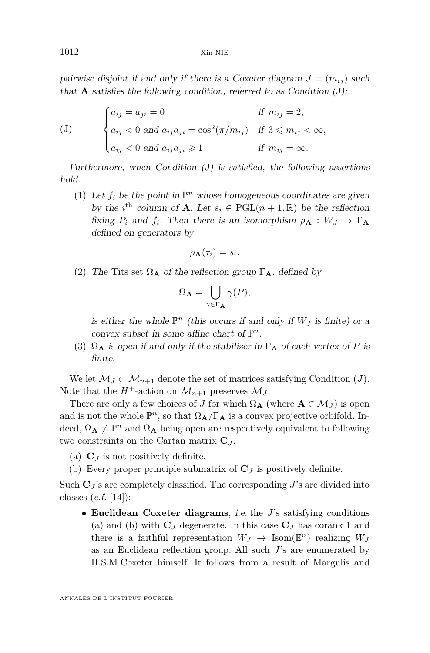<span id="page-8-0"></span>1012 Xin NIE

pairwise disjoint if and only if there is a Coxeter diagram  $J = (m_{ij})$  such that  $\bf{A}$  satisfies the following condition, referred to as Condition  $(J)$ :

$$
\begin{cases}\n a_{ij} = a_{ji} = 0 & \text{if } m_{ij} = 2, \\
a_{ij} < 0 \text{ and } a_{ij}a_{ji} = \cos^2(\pi/m_{ij}) & \text{if } 3 \le m_{ij} < \infty, \\
a_{ij} < 0 \text{ and } a_{ij}a_{ji} \ge 1 & \text{if } m_{ij} = \infty.\n\end{cases}
$$

Furthermore, when Condition  $(J)$  is satisfied, the following assertions hold.

(1) Let  $f_i$  be the point in  $\mathbb{P}^n$  whose homogeneous coordinates are given by the *i*<sup>th</sup> column of **A**. Let  $s_i \in \text{PGL}(n+1,\mathbb{R})$  be the reflection fixing  $P_i$  and  $f_i$ . Then there is an isomorphism  $\rho_A : W_J \to \Gamma_A$ defined on generators by

$$
\rho_{\mathbf{A}}(\tau_i)=s_i.
$$

(2) The Tits set  $\Omega_A$  of the reflection group  $\Gamma_A$ , defined by

$$
\Omega_{\mathbf{A}} = \bigcup_{\gamma \in \Gamma_{\mathbf{A}}} \gamma(P),
$$

is either the whole  $\mathbb{P}^n$  (this occurs if and only if  $W_J$  is finite) or a convex subset in some affine chart of  $\mathbb{P}^n$ .

(3)  $\Omega_A$  is open if and only if the stabilizer in  $\Gamma_A$  of each vertex of P is finite.

We let  $\mathcal{M}_J \subset \mathcal{M}_{n+1}$  denote the set of matrices satisfying Condition (*J*). Note that the  $H^+$ -action on  $\mathcal{M}_{n+1}$  preserves  $\mathcal{M}_J$ .

There are only a few choices of *J* for which  $\Omega_{\bf A}$  (where  ${\bf A} \in {\cal M}_J$ ) is open and is not the whole  $\mathbb{P}^n$ , so that  $\Omega_{\mathbf{A}}/\Gamma_{\mathbf{A}}$  is a convex projective orbifold. Indeed,  $\Omega_{\mathbf{A}} \neq \mathbb{P}^n$  and  $\Omega_{\mathbf{A}}$  being open are respectively equivalent to following two constraints on the Cartan matrix  $C_J$ .

- (a)  $C_I$  is not positively definite.
- (b) Every proper principle submatrix of  $C_J$  is positively definite.

Such  $C_J$ 's are completely classified. The corresponding  $J$ 's are divided into classes  $(c.f. |14|)$ :

• **Euclidean Coxeter diagrams**, i.e. the *J*'s satisfying conditions (a) and (b) with **C***<sup>J</sup>* degenerate. In this case **C***<sup>J</sup>* has corank 1 and there is a faithful representation  $W_J \to \text{Isom}(\mathbb{E}^n)$  realizing  $W_J$ as an Euclidean reflection group. All such *J*'s are enumerated by H.S.M.Coxeter himself. It follows from a result of Margulis and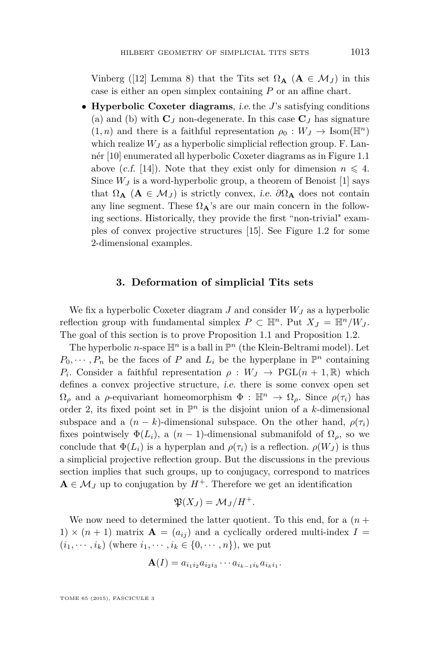<span id="page-9-0"></span>Vinberg ([\[12\]](#page-25-0) Lemma 8) that the Tits set  $\Omega_{\mathbf{A}}$  ( $\mathbf{A} \in \mathcal{M}_J$ ) in this case is either an open simplex containing *P* or an affine chart.

• **Hyperbolic Coxeter diagrams**, i.e.the *J*'s satisfying conditions [\(a\)](#page-8-0) and [\(b\)](#page-8-0) with  $C_J$  non-degenerate. In this case  $C_J$  has signature  $(1, n)$  and there is a faithful representation  $\rho_0 : W_J \to \text{Isom}(\mathbb{H}^n)$ which realize  $W_J$  as a hyperbolic simplicial reflection group. F. Lannér [\[10\]](#page-25-0) enumerated all hyperbolic Coxeter diagrams as in Figure [1.1](#page-3-0) above (*c.f.* [\[14\]](#page-26-0)). Note that they exist only for dimension  $n \leq 4$ . Since  $W_J$  is a word-hyperbolic group, a theorem of Benoist [\[1\]](#page-25-0) says that  $\Omega_{\mathbf{A}}$  ( $\mathbf{A} \in \mathcal{M}_{J}$ ) is strictly convex, i.e.  $\partial \Omega_{\mathbf{A}}$  does not contain any line segment. These  $\Omega_{\bf A}$ 's are our main concern in the following sections. Historically, they provide the first "non-trivial" examples of convex projective structures [\[15\]](#page-26-0). See Figure [1.2](#page-4-0) for some 2-dimensional examples.

#### **3. Deformation of simplicial Tits sets**

We fix a hyperbolic Coxeter diagram *J* and consider *W<sup>J</sup>* as a hyperbolic reflection group with fundamental simplex  $P \subset \mathbb{H}^n$ . Put  $X_J = \mathbb{H}^n/W_J$ . The goal of this section is to prove Proposition [1.1](#page-2-0) and Proposition [1.2.](#page-2-0)

The hyperbolic *n*-space  $\mathbb{H}^n$  is a ball in  $\mathbb{P}^n$  (the Klein-Beltrami model). Let  $P_0, \dots, P_n$  be the faces of *P* and  $L_i$  be the hyperplane in  $\mathbb{P}^n$  containing *P*<sup>*i*</sup>. Consider a faithful representation  $\rho: W_J \to \text{PGL}(n+1, \mathbb{R})$  which defines a convex projective structure, i.e. there is some convex open set  $Ω<sub>ρ</sub>$  and a *ρ*-equivariant homeomorphism  $Φ$  :  $\mathbb{H}^n → Ω<sub>ρ</sub>$ . Since  $ρ(τ<sub>i</sub>)$  has order 2, its fixed point set in  $\mathbb{P}^n$  is the disjoint union of a *k*-dimensional subspace and a  $(n - k)$ -dimensional subspace. On the other hand,  $\rho(\tau_i)$ fixes pointwisely  $\Phi(L_i)$ , a  $(n-1)$ -dimensional submanifold of  $\Omega_\rho$ , so we conclude that  $\Phi(L_i)$  is a hyperplan and  $\rho(\tau_i)$  is a reflection.  $\rho(W_J)$  is thus a simplicial projective reflection group. But the discussions in the previous section implies that such groups, up to conjugacy, correspond to matrices  $A \in \mathcal{M}_J$  up to conjugation by  $H^+$ . Therefore we get an identification

$$
\mathfrak{P}(X_J) = \mathcal{M}_J/H^+.
$$

We now need to determined the latter quotient. To this end, for a  $(n +$ 1)  $\times$  (*n* + 1) matrix  $\mathbf{A} = (a_{ij})$  and a cyclically ordered multi-index  $I =$  $(i_1, \dots, i_k)$  (where  $i_1, \dots, i_k \in \{0, \dots, n\}$ ), we put

$$
\mathbf{A}(I) = a_{i_1 i_2} a_{i_2 i_3} \cdots a_{i_{k-1} i_k} a_{i_k i_1}.
$$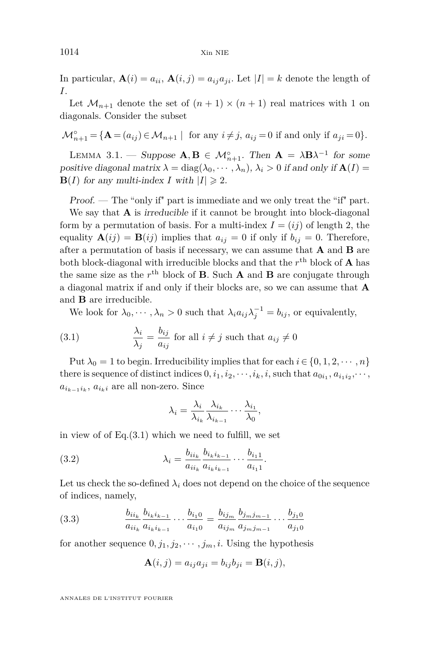<span id="page-10-0"></span>1014 Xin NIE

In particular,  $\mathbf{A}(i) = a_{ii}, \mathbf{A}(i,j) = a_{ij}a_{ji}$ . Let  $|I| = k$  denote the length of *I*.

Let  $\mathcal{M}_{n+1}$  denote the set of  $(n+1) \times (n+1)$  real matrices with 1 on diagonals. Consider the subset

 $\mathcal{M}_{n+1}^{\circ} = {\mathbf{A} = (a_{ij}) \in \mathcal{M}_{n+1} \mid \text{ for any } i \neq j, a_{ij} = 0 \text{ if and only if } a_{ji} = 0}.$ 

LEMMA 3.1. — Suppose  $\mathbf{A}, \mathbf{B} \in \mathcal{M}_{n+1}^{\circ}$ . Then  $\mathbf{A} = \lambda \mathbf{B} \lambda^{-1}$  for some positive diagonal matrix  $\lambda = \text{diag}(\lambda_0, \dots, \lambda_n)$ ,  $\lambda_i > 0$  if and only if  $\mathbf{A}(I) =$  $\mathbf{B}(I)$  for any multi-index *I* with  $|I| \geq 2$ .

Proof. — The "only if" part is immediate and we only treat the "if" part.

We say that **A** is *irreducible* if it cannot be brought into block-diagonal form by a permutation of basis. For a multi-index  $I = (ij)$  of length 2, the equality  $\mathbf{A}(ij) = \mathbf{B}(ij)$  implies that  $a_{ij} = 0$  if only if  $b_{ij} = 0$ . Therefore, after a permutation of basis if necessary, we can assume that **A** and **B** are both block-diagonal with irreducible blocks and that the  $r<sup>th</sup>$  block of **A** has the same size as the  $r<sup>th</sup>$  block of **B**. Such **A** and **B** are conjugate through a diagonal matrix if and only if their blocks are, so we can assume that **A** and **B** are irreducible.

We look for  $\lambda_0, \dots, \lambda_n > 0$  such that  $\lambda_i a_{ij} \lambda_j^{-1} = b_{ij}$ , or equivalently,

(3.1) 
$$
\frac{\lambda_i}{\lambda_j} = \frac{b_{ij}}{a_{ij}} \text{ for all } i \neq j \text{ such that } a_{ij} \neq 0
$$

Put  $\lambda_0 = 1$  to begin. Irreducibility implies that for each  $i \in \{0, 1, 2, \dots, n\}$ there is sequence of distinct indices  $0, i_1, i_2, \dots, i_k, i$ , such that  $a_{0i_1}, a_{i_1i_2}, \dots$ ,  $a_{i_{k-1}i_k}$ ,  $a_{i_ki}$  are all non-zero. Since

$$
\lambda_i = \frac{\lambda_i}{\lambda_{i_k}} \frac{\lambda_{i_k}}{\lambda_{i_{k-1}}} \cdots \frac{\lambda_{i_1}}{\lambda_0},
$$

in view of of  $Eq.(3.1)$  which we need to fulfill, we set

(3.2) 
$$
\lambda_i = \frac{b_{ii_k}}{a_{ii_k}} \frac{b_{i_k i_{k-1}}}{a_{i_k i_{k-1}}} \cdots \frac{b_{i_1 1}}{a_{i_1 1}}.
$$

Let us check the so-defined  $\lambda_i$  does not depend on the choice of the sequence of indices, namely,

(3.3) 
$$
\frac{b_{ii_k}}{a_{ii_k}} \frac{b_{i_k i_{k-1}}}{a_{i_k i_{k-1}}} \cdots \frac{b_{i_1 0}}{a_{i_1 0}} = \frac{b_{i j_m}}{a_{i j_m}} \frac{b_{j_m j_{m-1}}}{a_{j_m j_{m-1}}} \cdots \frac{b_{j_1 0}}{a_{j_1 0}}
$$

for another sequence  $0, j_1, j_2, \cdots, j_m, i$ . Using the hypothesis

$$
\mathbf{A}(i,j) = a_{ij}a_{ji} = b_{ij}b_{ji} = \mathbf{B}(i,j),
$$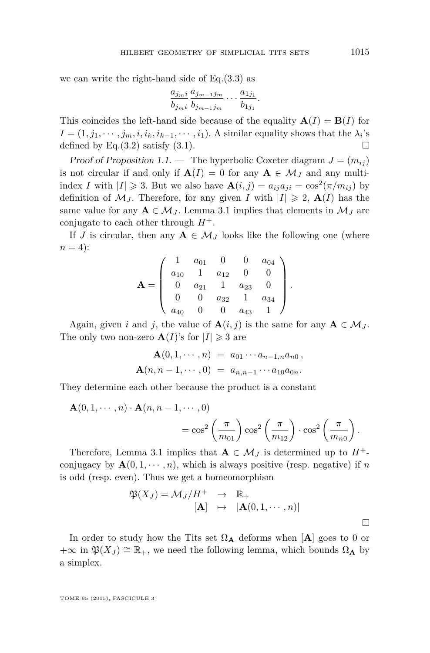we can write the right-hand side of Eq.[\(3.3\)](#page-10-0) as

$$
\frac{a_{j_m i}}{b_{j_m i}} \frac{a_{j_{m-1} j_m}}{b_{j_{m-1} j_m}} \cdots \frac{a_{1 j_1}}{b_{1 j_1}}
$$

*.*

This coincides the left-hand side because of the equality  $\mathbf{A}(I) = \mathbf{B}(I)$  for  $I = (1, j_1, \dots, j_m, i, i_k, i_{k-1}, \dots, i_1)$ . A similar equality shows that the  $\lambda_i$ 's defined by Eq.[\(3.2\)](#page-10-0) satisfy [\(3.1\)](#page-10-0).

Proof of Proposition [1.1.](#page-2-0) — The hyperbolic Coxeter diagram  $J = (m_{ij})$ is not circular if and only if  $\mathbf{A}(I) = 0$  for any  $\mathbf{A} \in \mathcal{M}_I$  and any multiindex *I* with  $|I| \ge 3$ . But we also have  $\mathbf{A}(i,j) = a_{ij}a_{ji} = \cos^2(\pi/m_{ij})$  by definition of  $\mathcal{M}_J$ . Therefore, for any given *I* with  $|I| \geq 2$ ,  $\mathbf{A}(I)$  has the same value for any  $A \in \mathcal{M}_I$ . Lemma [3.1](#page-10-0) implies that elements in  $\mathcal{M}_I$  are conjugate to each other through  $H^+$ .

If *J* is circular, then any  $A \in \mathcal{M}_J$  looks like the following one (where  $n = 4$ :

$$
\mathbf{A} = \left( \begin{array}{cccc} 1 & a_{01} & 0 & 0 & a_{04} \\ a_{10} & 1 & a_{12} & 0 & 0 \\ 0 & a_{21} & 1 & a_{23} & 0 \\ 0 & 0 & a_{32} & 1 & a_{34} \\ a_{40} & 0 & 0 & a_{43} & 1 \end{array} \right).
$$

Again, given *i* and *j*, the value of  $\mathbf{A}(i, j)$  is the same for any  $\mathbf{A} \in \mathcal{M}_J$ . The only two non-zero  $\mathbf{A}(I)$ 's for  $|I| \geq 3$  are

$$
\mathbf{A}(0,1,\cdots,n) = a_{01}\cdots a_{n-1,n}a_{n0}, \mathbf{A}(n,n-1,\cdots,0) = a_{n,n-1}\cdots a_{10}a_{0n}.
$$

They determine each other because the product is a constant

$$
\mathbf{A}(0,1,\dots,n) \cdot \mathbf{A}(n,n-1,\dots,0) = \cos^2\left(\frac{\pi}{m_{01}}\right) \cos^2\left(\frac{\pi}{m_{12}}\right) \cdot \cos^2\left(\frac{\pi}{m_{n0}}\right).
$$

Therefore, Lemma [3.1](#page-10-0) implies that  $A \in \mathcal{M}_J$  is determined up to  $H^+$ conjugacy by  $\mathbf{A}(0,1,\dots,n)$ , which is always positive (resp. negative) if *n* is odd (resp. even). Thus we get a homeomorphism

$$
\mathfrak{P}(X_J) = \mathcal{M}_J / H^+ \rightarrow \mathbb{R}_+ [\mathbf{A}] \rightarrow [\mathbf{A}(0, 1, \cdots, n)]
$$

In order to study how the Tits set  $\Omega_{\bf A}$  deforms when  ${\bf A}$  goes to 0 or  $+\infty$  in  $\mathfrak{P}(X_J) \cong \mathbb{R}_+$ , we need the following lemma, which bounds  $\Omega_A$  by a simplex.

TOME 65 (2015), FASCICULE 3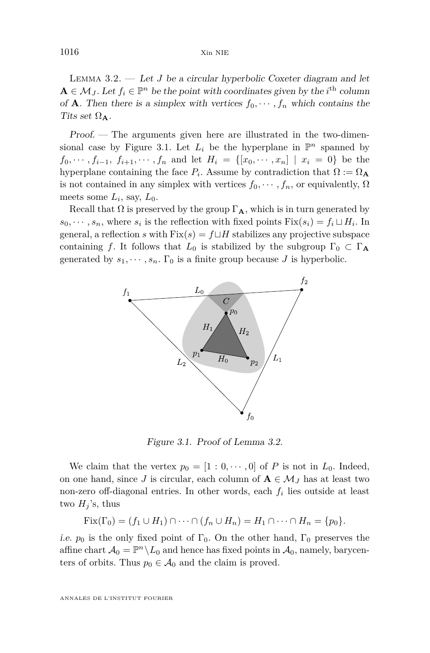<span id="page-12-0"></span>Lemma 3.2. — Let *J* be a circular hyperbolic Coxeter diagram and let  $\mathbf{A} \in \mathcal{M}_J$ . Let  $f_i \in \mathbb{P}^n$  be the point with coordinates given by the *i*<sup>th</sup> column of **A**. Then there is a simplex with vertices  $f_0, \dots, f_n$  which contains the Tits set  $\Omega_{\bf A}$ .

Proof. — The arguments given here are illustrated in the two-dimensional case by Figure 3.1. Let  $L_i$  be the hyperplane in  $\mathbb{P}^n$  spanned by  $f_0, \dots, f_{i-1}, f_{i+1}, \dots, f_n$  and let  $H_i = \{ [x_0, \dots, x_n] \mid x_i = 0 \}$  be the hyperplane containing the face  $P_i$ . Assume by contradiction that  $\Omega := \Omega_{\mathbf{A}}$ is not contained in any simplex with vertices  $f_0, \dots, f_n$ , or equivalently,  $\Omega$ meets some  $L_i$ , say,  $L_0$ .

Recall that  $\Omega$  is preserved by the group  $\Gamma_{\mathbf{A}}$ , which is in turn generated by  $s_0, \dots, s_n$ , where  $s_i$  is the reflection with fixed points  $Fix(s_i) = f_i \sqcup H_i$ . In general, a reflection *s* with  $Fix(s) = f \sqcup H$  stabilizes any projective subspace containing *f*. It follows that  $L_0$  is stabilized by the subgroup  $\Gamma_0 \subset \Gamma_A$ generated by  $s_1, \dots, s_n$ .  $\Gamma_0$  is a finite group because *J* is hyperbolic.



Figure 3.1. Proof of Lemma 3.2.

We claim that the vertex  $p_0 = [1 : 0, \dots, 0]$  of P is not in  $L_0$ . Indeed, on one hand, since *J* is circular, each column of  $A \in \mathcal{M}_J$  has at least two non-zero off-diagonal entries. In other words, each *f<sup>i</sup>* lies outside at least two  $H_j$ 's, thus

$$
Fix(\Gamma_0)=(f_1\cup H_1)\cap\cdots\cap(f_n\cup H_n)=H_1\cap\cdots\cap H_n=\{p_0\}.
$$

*i.e.*  $p_0$  is the only fixed point of  $\Gamma_0$ . On the other hand,  $\Gamma_0$  preserves the affine chart  $A_0 = \mathbb{P}^n \setminus L_0$  and hence has fixed points in  $A_0$ , namely, barycenters of orbits. Thus  $p_0 \in A_0$  and the claim is proved.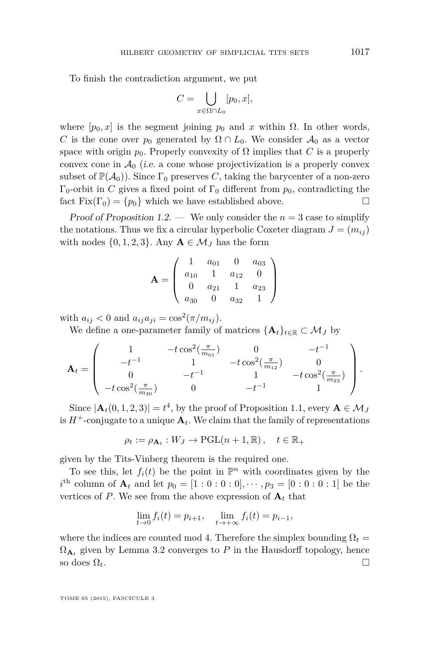To finish the contradiction argument, we put

$$
C = \bigcup_{x \in \Omega \cap L_0} [p_0, x],
$$

where  $[p_0, x]$  is the segment joining  $p_0$  and x within  $\Omega$ . In other words, *C* is the cone over  $p_0$  generated by  $\Omega \cap L_0$ . We consider  $\mathcal{A}_0$  as a vector space with origin  $p_0$ . Properly convexity of  $\Omega$  implies that *C* is a properly convex cone in  $\mathcal{A}_0$  (i.e. a cone whose projectivization is a properly convex subset of  $\mathbb{P}(\mathcal{A}_0)$ . Since  $\Gamma_0$  preserves *C*, taking the barycenter of a non-zero  $Γ_0$ -orbit in *C* gives a fixed point of  $Γ_0$  different from  $p_0$ , contradicting the fact  $Fix(\Gamma_0) = \{p_0\}$  which we have established above.

Proof of Proposition [1.2.](#page-2-0) — We only consider the  $n = 3$  case to simplify the notations. Thus we fix a circular hyperbolic Coxeter diagram  $J = (m_{ij})$ with nodes  $\{0, 1, 2, 3\}$ . Any  $A \in \mathcal{M}_J$  has the form

$$
\mathbf{A} = \left( \begin{array}{cccc} 1 & a_{01} & 0 & a_{03} \\ a_{10} & 1 & a_{12} & 0 \\ 0 & a_{21} & 1 & a_{23} \\ a_{30} & 0 & a_{32} & 1 \end{array} \right)
$$

with  $a_{ij} < 0$  and  $a_{ij}a_{ji} = \cos^2(\pi/m_{ij})$ .

We define a one-parameter family of matrices  ${A_t}_{t \in \mathbb{R}} \subset M_J$  by

$$
\mathbf{A}_{t} = \begin{pmatrix} 1 & -t \cos^{2}(\frac{\pi}{m_{01}}) & 0 & -t^{-1} \\ -t^{-1} & 1 & -t \cos^{2}(\frac{\pi}{m_{12}}) & 0 \\ 0 & -t^{-1} & 1 & -t \cos^{2}(\frac{\pi}{m_{23}}) \\ -t \cos^{2}(\frac{\pi}{m_{30}}) & 0 & -t^{-1} & 1 \end{pmatrix}.
$$

Since  $|\mathbf{A}_t(0,1,2,3)| = t^4$ , by the proof of Proposition [1.1,](#page-2-0) every  $\mathbf{A} \in \mathcal{M}_J$ is  $H^+$ -conjugate to a unique  $A_t$ . We claim that the family of representations

$$
\rho_t := \rho_{\mathbf{A}_t} : W_J \to \mathrm{PGL}(n+1,\mathbb{R}), \quad t \in \mathbb{R}_+
$$

given by the Tits-Vinberg theorem is the required one.

To see this, let  $f_i(t)$  be the point in  $\mathbb{P}^n$  with coordinates given by the  $i^{\text{th}}$  column of  $A_t$  and let  $p_0 = [1 : 0 : 0 : 0], \cdots, p_3 = [0 : 0 : 0 : 1]$  be the vertices of  $P$ . We see from the above expression of  $A_t$  that

$$
\lim_{t \to 0} f_i(t) = p_{i+1}, \quad \lim_{t \to +\infty} f_i(t) = p_{i-1},
$$

where the indices are counted mod 4. Therefore the simplex bounding  $\Omega_t$  =  $\Omega_{\mathbf{A}_t}$  given by Lemma [3.2](#page-12-0) converges to  $P$  in the Hausdorff topology, hence so does  $\Omega_t$ .

TOME 65 (2015), FASCICULE 3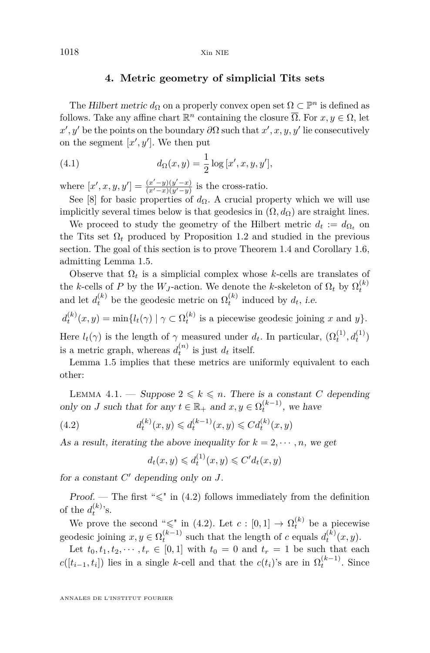#### **4. Metric geometry of simplicial Tits sets**

<span id="page-14-0"></span>The Hilbert metric  $d_{\Omega}$  on a properly convex open set  $\Omega \subset \mathbb{P}^n$  is defined as follows. Take any affine chart  $\mathbb{R}^n$  containing the closure  $\overline{\Omega}$ . For  $x, y \in \Omega$ , let  $x', y'$  be the points on the boundary  $\partial\Omega$  such that  $x', x, y, y'$  lie consecutively on the segment  $[x', y']$ . We then put

(4.1) 
$$
d_{\Omega}(x, y) = \frac{1}{2} \log [x', x, y, y'],
$$

where  $[x', x, y, y'] = \frac{(x'-y)(y'-x)}{(x'-x)(y'-y)}$  $\frac{(x-y)(y-x)}{(x'-x)(y'-y)}$  is the cross-ratio.

See [\[8\]](#page-25-0) for basic properties of  $d_{\Omega}$ . A crucial property which we will use implicitly several times below is that geodesics in  $(\Omega, d_{\Omega})$  are straight lines.

We proceed to study the geometry of the Hilbert metric  $d_t := d_{\Omega_t}$  on the Tits set  $\Omega_t$  produced by Proposition [1.2](#page-2-0) and studied in the previous section. The goal of this section is to prove Theorem [1.4](#page-5-0) and Corollary [1.6,](#page-5-0) admitting Lemma [1.5.](#page-5-0)

Observe that  $\Omega_t$  is a simplicial complex whose *k*-cells are translates of the *k*-cells of *P* by the *W*<sub>*J*</sub>-action. We denote the *k*-skeleton of  $\Omega_t$  by  $\Omega_t^{(k)}$ and let  $d_t^{(k)}$  be the geodesic metric on  $\Omega_t^{(k)}$  induced by  $d_t$ , *i.e.* 

 $d_t^{(k)}(x, y) = \min\{l_t(\gamma) \mid \gamma \subset \Omega_t^{(k)}$  is a piecewise geodesic joining *x* and *y*}.

Here  $l_t(\gamma)$  is the length of  $\gamma$  measured under  $d_t$ . In particular,  $(\Omega_t^{(1)}, d_t^{(1)})$ is a metric graph, whereas  $d_t^{(n)}$  is just  $d_t$  itself.

Lemma [1.5](#page-5-0) implies that these metrics are uniformly equivalent to each other:

LEMMA 4.1. — Suppose  $2 \leq k \leq n$ . There is a constant *C* depending only on *J* such that for any  $t \in \mathbb{R}_+$  and  $x, y \in \Omega_t^{(k-1)}$ , we have

(4.2) 
$$
d_t^{(k)}(x,y) \leq d_t^{(k-1)}(x,y) \leq C d_t^{(k)}(x,y)
$$

As a result, iterating the above inequality for  $k = 2, \dots, n$ , we get

$$
d_t(x, y) \leq d_t^{(1)}(x, y) \leq C' d_t(x, y)
$$

for a constant  $C'$  depending only on  $J$ .

Proof. — The first " $\le$ " in (4.2) follows immediately from the definition of the  $d_t^{(k)}$ 's.

We prove the second " $\leq$ " in (4.2). Let  $c : [0,1] \to \Omega_t^{(k)}$  be a piecewise geodesic joining  $x, y \in \Omega_t^{(k-1)}$  such that the length of *c* equals  $d_t^{(k)}(x, y)$ .

Let  $t_0, t_1, t_2, \dots, t_r \in [0,1]$  with  $t_0 = 0$  and  $t_r = 1$  be such that each  $c([t_{i-1}, t_i])$  lies in a single *k*-cell and that the  $c(t_i)$ 's are in  $\Omega_t^{(k-1)}$ . Since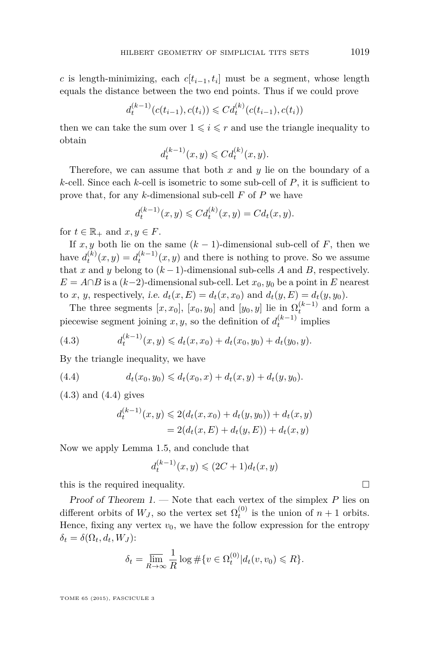*c* is length-minimizing, each  $c[t_{i-1}, t_i]$  must be a segment, whose length equals the distance between the two end points. Thus if we could prove

$$
d_t^{(k-1)}(c(t_{i-1}), c(t_i)) \leq C d_t^{(k)}(c(t_{i-1}), c(t_i))
$$

then we can take the sum over  $1 \leqslant i \leqslant r$  and use the triangle inequality to obtain

$$
d_t^{(k-1)}(x,y) \leqslant C d_t^{(k)}(x,y).
$$

Therefore, we can assume that both *x* and *y* lie on the boundary of a *k*-cell. Since each *k*-cell is isometric to some sub-cell of *P*, it is sufficient to prove that, for any *k*-dimensional sub-cell *F* of *P* we have

$$
d_t^{(k-1)}(x, y) \leq C d_t^{(k)}(x, y) = C d_t(x, y).
$$

for  $t \in \mathbb{R}_+$  and  $x, y \in F$ .

If  $x, y$  both lie on the same  $(k-1)$ -dimensional sub-cell of  $F$ , then we have  $d_t^{(k)}(x, y) = d_t^{(k-1)}(x, y)$  and there is nothing to prove. So we assume that *x* and *y* belong to  $(k-1)$ -dimensional sub-cells *A* and *B*, respectively.  $E = A \cap B$  is a  $(k-2)$ -dimensional sub-cell. Let  $x_0, y_0$  be a point in *E* nearest to *x*, *y*, respectively, i.e.  $d_t(x, E) = d_t(x, x_0)$  and  $d_t(y, E) = d_t(y, y_0)$ .

The three segments  $[x, x_0]$ ,  $[x_0, y_0]$  and  $[y_0, y]$  lie in  $\Omega_t^{(k-1)}$  and form a piecewise segment joining  $x, y$ , so the definition of  $d_t^{(k-1)}$  implies

(4.3) 
$$
d_t^{(k-1)}(x,y) \leq d_t(x,x_0) + d_t(x_0,y_0) + d_t(y_0,y).
$$

By the triangle inequality, we have

(4.4) 
$$
d_t(x_0, y_0) \leq d_t(x_0, x) + d_t(x, y) + d_t(y, y_0).
$$

(4.3) and (4.4) gives

$$
d_t^{(k-1)}(x, y) \leq 2(d_t(x, x_0) + d_t(y, y_0)) + d_t(x, y)
$$
  
= 2(d\_t(x, E) + d\_t(y, E)) + d\_t(x, y)

Now we apply Lemma [1.5,](#page-5-0) and conclude that

$$
d_t^{(k-1)}(x, y) \le (2C + 1)d_t(x, y)
$$

this is the required inequality.  $\Box$ 

Proof of Theorem 1. — Note that each vertex of the simplex *P* lies on different orbits of  $W_J$ , so the vertex set  $\Omega_t^{(0)}$  is the union of  $n+1$  orbits. Hence, fixing any vertex  $v_0$ , we have the follow expression for the entropy  $\delta_t = \delta(\Omega_t, d_t, W_J)$ :

$$
\delta_t = \overline{\lim_{R \to \infty}} \frac{1}{R} \log \# \{ v \in \Omega_t^{(0)} | d_t(v, v_0) \leq R \}.
$$

TOME 65 (2015), FASCICULE 3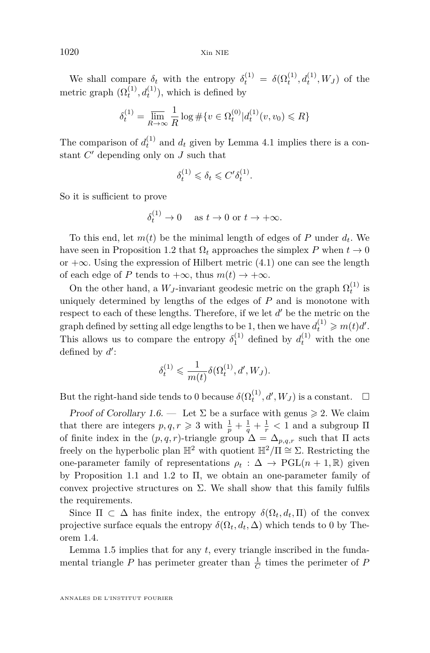1020 Xin NIE

We shall compare  $\delta_t$  with the entropy  $\delta_t^{(1)} = \delta(\Omega_t^{(1)}, d_t^{(1)}, W_J)$  of the metric graph  $(\Omega_t^{(1)}, d_t^{(1)})$ , which is defined by

$$
\delta_t^{(1)} = \overline{\lim}_{R \to \infty} \frac{1}{R} \log \# \{ v \in \Omega_t^{(0)} | d_t^{(1)}(v, v_0) \le R \}
$$

The comparison of  $d_t^{(1)}$  and  $d_t$  given by Lemma [4.1](#page-14-0) implies there is a constant  $C'$  depending only on  $J$  such that

$$
\delta_t^{(1)} \leq \delta_t \leq C' \delta_t^{(1)}.
$$

So it is sufficient to prove

$$
\delta_t^{(1)} \to 0 \quad \text{ as } t \to 0 \text{ or } t \to +\infty.
$$

To this end, let  $m(t)$  be the minimal length of edges of *P* under  $d_t$ . We have seen in Proposition [1.2](#page-2-0) that  $\Omega_t$  approaches the simplex *P* when  $t \to 0$ or  $+\infty$ . Using the expression of Hilbert metric [\(4.1\)](#page-14-0) one can see the length of each edge of *P* tends to  $+\infty$ , thus  $m(t) \to +\infty$ .

On the other hand, a  $W_J$ -invariant geodesic metric on the graph  $\Omega_t^{(1)}$  is uniquely determined by lengths of the edges of *P* and is monotone with respect to each of these lengths. Therefore, if we let  $d'$  be the metric on the graph defined by setting all edge lengths to be 1, then we have  $d_t^{(1)} \geq m(t)d'$ . This allows us to compare the entropy  $\delta_1^{(1)}$  defined by  $d_t^{(1)}$  with the one defined by  $d'$ :

$$
\delta_t^{(1)} \leqslant \frac{1}{m(t)} \delta(\Omega_t^{(1)}, d', W_J).
$$

But the right-hand side tends to 0 because  $\delta(\Omega_t^{(1)}, d', W_J)$  is a constant.  $\Box$ 

Proof of Corollary [1.6.](#page-5-0) — Let  $\Sigma$  be a surface with genus  $\geq 2$ . We claim that there are integers  $p, q, r \geq 3$  with  $\frac{1}{p} + \frac{1}{q} + \frac{1}{r} < 1$  and a subgroup  $\Pi$ of finite index in the  $(p, q, r)$ -triangle group  $\Delta = \Delta_{p,q,r}$  such that  $\Pi$  acts freely on the hyperbolic plan  $\mathbb{H}^2$  with quotient  $\mathbb{H}^2/\Pi \cong \Sigma$ . Restricting the one-parameter family of representations  $\rho_t : \Delta \to \mathrm{PGL}(n+1,\mathbb{R})$  given by Proposition [1.1](#page-2-0) and [1.2](#page-2-0) to Π, we obtain an one-parameter family of convex projective structures on  $\Sigma$ . We shall show that this family fulfils the requirements.

Since  $\Pi \subset \Delta$  has finite index, the entropy  $\delta(\Omega_t, d_t, \Pi)$  of the convex projective surface equals the entropy  $\delta(\Omega_t, d_t, \Delta)$  which tends to 0 by Theorem [1.4.](#page-5-0)

Lemma [1.5](#page-5-0) implies that for any *t*, every triangle inscribed in the fundamental triangle  $P$  has perimeter greater than  $\frac{1}{C}$  times the perimeter of  $P$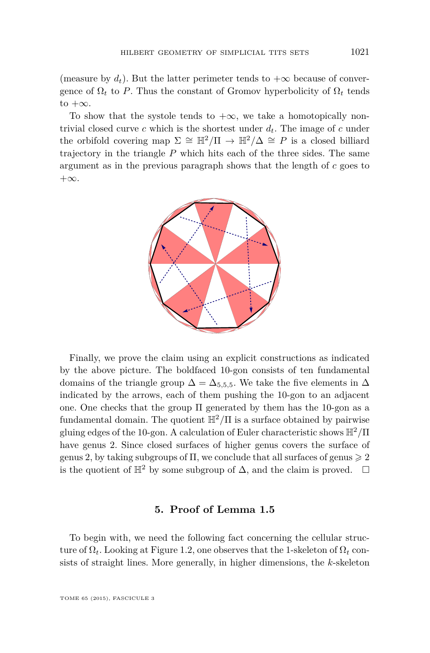<span id="page-17-0"></span>(measure by  $d_t$ ). But the latter perimeter tends to  $+\infty$  because of convergence of  $\Omega_t$  to *P*. Thus the constant of Gromov hyperbolicity of  $\Omega_t$  tends to  $+\infty$ .

To show that the systole tends to  $+\infty$ , we take a homotopically nontrivial closed curve  $c$  which is the shortest under  $d_t$ . The image of  $c$  under the orbifold covering map  $\Sigma \cong \mathbb{H}^2/\Pi \to \mathbb{H}^2/\Delta \cong P$  is a closed billiard trajectory in the triangle *P* which hits each of the three sides. The same argument as in the previous paragraph shows that the length of *c* goes to  $+\infty$ .



Finally, we prove the claim using an explicit constructions as indicated by the above picture. The boldfaced 10-gon consists of ten fundamental domains of the triangle group  $\Delta = \Delta_{5,5,5}$ . We take the five elements in  $\Delta$ indicated by the arrows, each of them pushing the 10-gon to an adjacent one. One checks that the group  $\Pi$  generated by them has the 10-gon as a fundamental domain. The quotient  $\mathbb{H}^2/\Pi$  is a surface obtained by pairwise gluing edges of the 10-gon. A calculation of Euler characteristic shows H<sup>2</sup>*/*Π have genus 2. Since closed surfaces of higher genus covers the surface of genus 2, by taking subgroups of  $\Pi$ , we conclude that all surfaces of genus  $\geq 2$ is the quotient of  $\mathbb{H}^2$  by some subgroup of  $\Delta$ , and the claim is proved.  $\Box$ 

#### **5. Proof of Lemma [1.5](#page-5-0)**

To begin with, we need the following fact concerning the cellular structure of  $\Omega_t$ . Looking at Figure [1.2,](#page-4-0) one observes that the 1-skeleton of  $\Omega_t$  consists of straight lines. More generally, in higher dimensions, the *k*-skeleton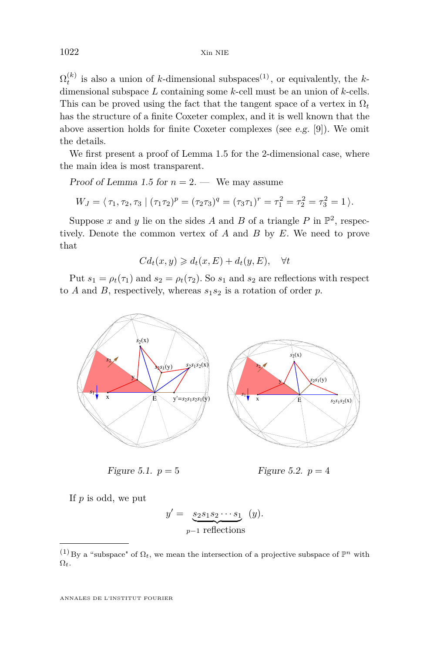<span id="page-18-0"></span> $\Omega_t^{(k)}$  is also a union of *k*-dimensional subspaces<sup>(1)</sup>, or equivalently, the *k*dimensional subspace *L* containing some *k*-cell must be an union of *k*-cells. This can be proved using the fact that the tangent space of a vertex in  $\Omega_t$ has the structure of a finite Coxeter complex, and it is well known that the above assertion holds for finite Coxeter complexes (see e.g. [\[9\]](#page-25-0)). We omit the details.

We first present a proof of Lemma [1.5](#page-5-0) for the 2-dimensional case, where the main idea is most transparent.

Proof of Lemma [1.5](#page-5-0) for  $n = 2$ . — We may assume

$$
W_J = \langle \tau_1, \tau_2, \tau_3 | (\tau_1 \tau_2)^p = (\tau_2 \tau_3)^q = (\tau_3 \tau_1)^r = \tau_1^2 = \tau_2^2 = \tau_3^2 = 1 \rangle.
$$

Suppose x and y lie on the sides A and B of a triangle P in  $\mathbb{P}^2$ , respectively. Denote the common vertex of *A* and *B* by *E*. We need to prove that

$$
Cd_t(x,y) \geq d_t(x,E) + d_t(y,E), \quad \forall t
$$

Put  $s_1 = \rho_t(\tau_1)$  and  $s_2 = \rho_t(\tau_2)$ . So  $s_1$  and  $s_2$  are reflections with respect to *A* and *B*, respectively, whereas  $s_1 s_2$  is a rotation of order *p*.



Figure 5.1.  $p = 5$ 

Figure 5.2.  $p = 4$ 

If *p* is odd, we put

$$
y' = \underbrace{s_2 s_1 s_2 \cdots s_1}_{p-1 \text{ reflections}} (y).
$$

<sup>&</sup>lt;sup>(1)</sup> By a "subspace" of  $\Omega_t$ , we mean the intersection of a projective subspace of  $\mathbb{P}^n$  with  $\Omega_t$ .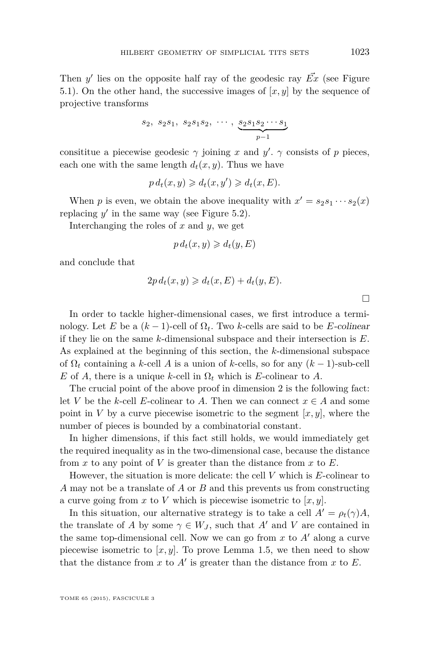Then  $y'$  lies on the opposite half ray of the geodesic ray  $\vec{Ex}$  (see Figure [5.1\)](#page-18-0). On the other hand, the successive images of  $[x, y]$  by the sequence of projective transforms

$$
s_2, s_2s_1, s_2s_1s_2, \cdots, \underbrace{s_2s_1s_2\cdots s_1}_{p-1}
$$

consititue a piecewise geodesic  $\gamma$  joining *x* and *y'*.  $\gamma$  consists of *p* pieces, each one with the same length  $d_t(x, y)$ . Thus we have

$$
p d_t(x, y) \geq d_t(x, y') \geq d_t(x, E).
$$

When *p* is even, we obtain the above inequality with  $x' = s_2 s_1 \cdots s_2(x)$ replacing  $y'$  in the same way (see Figure [5.2\)](#page-18-0).

Interchanging the roles of *x* and *y*, we get

$$
p d_t(x, y) \geq d_t(y, E)
$$

and conclude that

$$
2p d_t(x, y) \geq d_t(x, E) + d_t(y, E).
$$

 $\Box$ 

In order to tackle higher-dimensional cases, we first introduce a terminology. Let *E* be a  $(k-1)$ -cell of  $\Omega_t$ . Two *k*-cells are said to be *E*-colinear if they lie on the same *k*-dimensional subspace and their intersection is *E*. As explained at the beginning of this section, the *k*-dimensional subspace of  $\Omega_t$  containing a *k*-cell *A* is a union of *k*-cells, so for any  $(k-1)$ -sub-cell *E* of *A*, there is a unique *k*-cell in  $\Omega_t$  which is *E*-colinear to *A*.

The crucial point of the above proof in dimension 2 is the following fact: let *V* be the *k*-cell *E*-colinear to *A*. Then we can connect  $x \in A$  and some point in *V* by a curve piecewise isometric to the segment  $[x, y]$ , where the number of pieces is bounded by a combinatorial constant.

In higher dimensions, if this fact still holds, we would immediately get the required inequality as in the two-dimensional case, because the distance from  $x$  to any point of  $V$  is greater than the distance from  $x$  to  $E$ .

However, the situation is more delicate: the cell *V* which is *E*-colinear to *A* may not be a translate of *A* or *B* and this prevents us from constructing a curve going from  $x$  to  $V$  which is piecewise isometric to  $[x, y]$ .

In this situation, our alternative strategy is to take a cell  $A' = \rho_t(\gamma)A$ , the translate of *A* by some  $\gamma \in W_J$ , such that *A'* and *V* are contained in the same top-dimensional cell. Now we can go from  $x$  to  $A'$  along a curve piecewise isometric to  $[x, y]$ . To prove Lemma [1.5,](#page-5-0) we then need to show that the distance from  $x$  to  $A'$  is greater than the distance from  $x$  to  $E$ .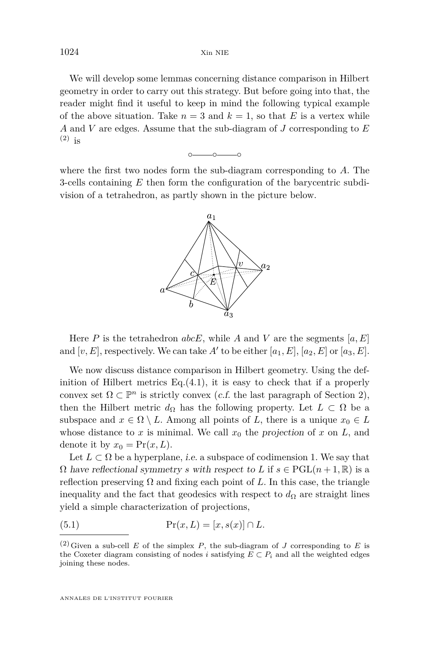<span id="page-20-0"></span>We will develop some lemmas concerning distance comparison in Hilbert geometry in order to carry out this strategy. But before going into that, the reader might find it useful to keep in mind the following typical example of the above situation. Take  $n = 3$  and  $k = 1$ , so that E is a vertex while *A* and *V* are edges. Assume that the sub-diagram of *J* corresponding to *E*  $(2)$  is



where the first two nodes form the sub-diagram corresponding to *A*. The 3-cells containing *E* then form the configuration of the barycentric subdivision of a tetrahedron, as partly shown in the picture below.



Here  $P$  is the tetrahedron *abcE*, while  $A$  and  $V$  are the segments  $[a, E]$ and  $[v, E]$ , respectively. We can take  $A'$  to be either  $[a_1, E]$ ,  $[a_2, E]$  or  $[a_3, E]$ .

We now discuss distance comparison in Hilbert geometry. Using the definition of Hilbert metrics  $Eq.(4.1)$  $Eq.(4.1)$ , it is easy to check that if a properly convex set  $\Omega \subset \mathbb{P}^n$  is strictly convex (*c.f.* the last paragraph of Section [2\)](#page-6-0), then the Hilbert metric  $d_{\Omega}$  has the following property. Let  $L \subset \Omega$  be a subspace and  $x \in \Omega \setminus L$ . Among all points of *L*, there is a unique  $x_0 \in L$ whose distance to x is minimal. We call  $x_0$  the projection of x on L, and denote it by  $x_0 = \Pr(x, L)$ .

Let  $L \subset \Omega$  be a hyperplane, *i.e.* a subspace of codimension 1. We say that  $\Omega$  have reflectional symmetry *s* with respect to *L* if  $s \in \text{PGL}(n+1,\mathbb{R})$  is a reflection preserving Ω and fixing each point of *L*. In this case, the triangle inequality and the fact that geodesics with respect to  $d_{\Omega}$  are straight lines yield a simple characterization of projections,

(5.1) 
$$
\Pr(x, L) = [x, s(x)] \cap L.
$$

<sup>&</sup>lt;sup>(2)</sup> Given a sub-cell  $E$  of the simplex  $P$ , the sub-diagram of  $J$  corresponding to  $E$  is the Coxeter diagram consisting of nodes *i* satisfying  $E \subset P_i$  and all the weighted edges joining these nodes.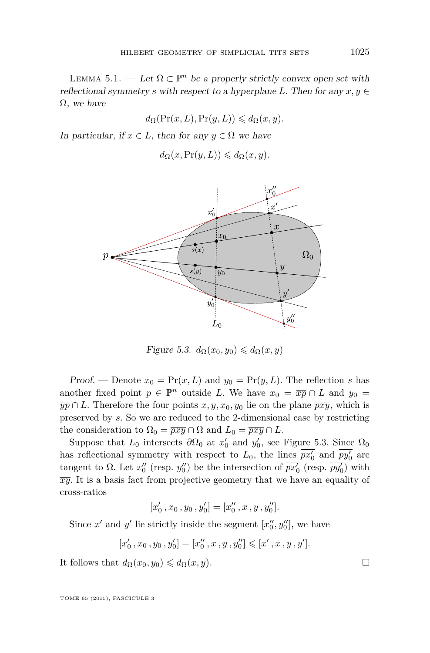<span id="page-21-0"></span>LEMMA 5.1. — Let  $\Omega \subset \mathbb{P}^n$  be a properly strictly convex open set with reflectional symmetry *s* with respect to a hyperplane *L*. Then for any  $x, y \in$  $\Omega$ , we have

$$
d_{\Omega}(\Pr(x, L), \Pr(y, L)) \leq d_{\Omega}(x, y).
$$

In particular, if  $x \in L$ , then for any  $y \in \Omega$  we have

$$
d_{\Omega}(x, \Pr(y, L)) \leq d_{\Omega}(x, y).
$$



Figure 5.3.  $d_{\Omega}(x_0, y_0) \leq d_{\Omega}(x, y)$ 

Proof. — Denote  $x_0 = \Pr(x, L)$  and  $y_0 = \Pr(y, L)$ . The reflection *s* has another fixed point  $p \in \mathbb{P}^n$  outside *L*. We have  $x_0 = \overline{xp} \cap L$  and  $y_0 =$ *yp* ∩ *L*. Therefore the four points *x, y, x*<sub>0</sub>*, y*<sub>0</sub> lie on the plane  $\overline{pxy}$ , which is preserved by *s*. So we are reduced to the 2-dimensional case by restricting the consideration to  $\Omega_0 = \overline{pxy} \cap \Omega$  and  $L_0 = \overline{pxy} \cap L$ .

Suppose that  $L_0$  intersects  $\partial\Omega_0$  at  $x'_0$  and  $y'_0$ , see Figure 5.3. Since  $\Omega_0$ has reflectional symmetry with respect to  $L_0$ , the lines  $\overline{px'_0}$  and  $\overline{py'_0}$  are tangent to  $\Omega$ . Let  $x_0''$  (resp.  $y_0''$ ) be the intersection of  $\overline{px_0'}$  (resp.  $\overline{py_0'}$ ) with  $\overline{xy}$ . It is a basis fact from projective geometry that we have an equality of cross-ratios

$$
[x'_0, x_0, y_0, y'_0] = [x''_0, x, y, y''_0].
$$

Since  $x'$  and  $y'$  lie strictly inside the segment  $[x''_0, y''_0]$ , we have

$$
[x'_0, x_0, y_0, y'_0] = [x''_0, x, y, y''_0] \leq [x', x, y, y'].
$$

It follows that  $d_{\Omega}(x_0, y_0) \leq d_{\Omega}(x, y)$ .

TOME 65 (2015), FASCICULE 3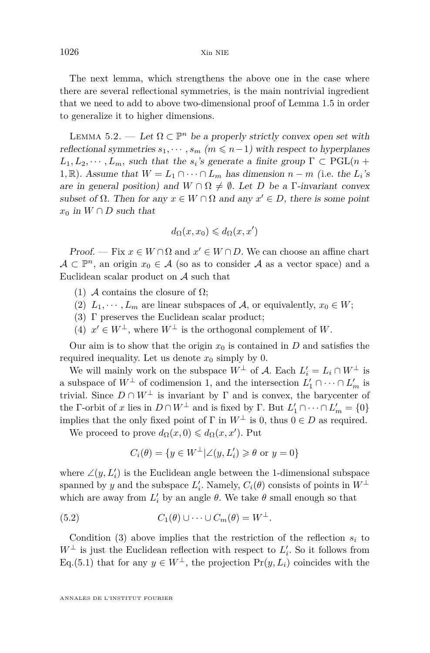<span id="page-22-0"></span>The next lemma, which strengthens the above one in the case where there are several reflectional symmetries, is the main nontrivial ingredient that we need to add to above two-dimensional proof of Lemma [1.5](#page-5-0) in order to generalize it to higher dimensions.

LEMMA 5.2. — Let  $\Omega \subset \mathbb{P}^n$  be a properly strictly convex open set with reflectional symmetries  $s_1, \dots, s_m$  ( $m \leq n-1$ ) with respect to hyperplanes  $L_1, L_2, \dots, L_m$ , such that the *s*<sup>*i*</sup>'s generate a finite group  $\Gamma \subset \text{PGL}(n + 1)$ 1, R). Assume that  $W = L_1 \cap \cdots \cap L_m$  has dimension  $n - m$  (i.e. the  $L_i$ 's are in general position) and  $W \cap \Omega \neq \emptyset$ . Let *D* be a Γ-invariant convex subset of  $\Omega$ . Then for any  $x \in W \cap \Omega$  and any  $x' \in D$ , there is some point  $x_0$  in  $W \cap D$  such that

$$
d_{\Omega}(x,x_0)\leqslant d_{\Omega}(x,x')
$$

Proof. — Fix  $x \in W \cap \Omega$  and  $x' \in W \cap D$ . We can choose an affine chart  $A \subset \mathbb{P}^n$ , an origin  $x_0 \in \mathcal{A}$  (so as to consider  $\mathcal{A}$  as a vector space) and a Euclidean scalar product on A such that

- (1) A contains the closure of  $\Omega$ ;
- (2)  $L_1, \dots, L_m$  are linear subspaces of A, or equivalently,  $x_0 \in W$ ;
- (3) Γ preserves the Euclidean scalar product;
- (4)  $x' \in W^{\perp}$ , where  $W^{\perp}$  is the orthogonal complement of *W*.

Our aim is to show that the origin  $x_0$  is contained in  $D$  and satisfies the required inequality. Let us denote  $x_0$  simply by 0.

We will mainly work on the subspace  $W^{\perp}$  of A. Each  $L'_{i} = L_{i} \cap W^{\perp}$  is a subspace of  $W^{\perp}$  of codimension 1, and the intersection  $L'_1 \cap \cdots \cap L'_m$  is trivial. Since  $D \cap W^{\perp}$  is invariant by  $\Gamma$  and is convex, the barycenter of the *Γ*-orbit of *x* lies in  $D \cap W^{\perp}$  and is fixed by *Γ*. But  $L'_1 \cap \cdots \cap L'_m = \{0\}$ implies that the only fixed point of  $\Gamma$  in  $W^{\perp}$  is 0, thus  $0 \in D$  as required.

We proceed to prove  $d_{\Omega}(x,0) \leq d_{\Omega}(x,x')$ . Put

$$
C_i(\theta) = \{ y \in W^{\perp} | \angle(y, L'_i) \geqslant \theta \text{ or } y = 0 \}
$$

where  $\angle(y, L'_i)$  is the Euclidean angle between the 1-dimensional subspace spanned by *y* and the subspace  $L_i'$ . Namely,  $C_i(\theta)$  consists of points in  $W^{\perp}$ which are away from  $L_i'$  by an angle  $\theta$ . We take  $\theta$  small enough so that

(5.2) 
$$
C_1(\theta) \cup \cdots \cup C_m(\theta) = W^{\perp}.
$$

Condition (3) above implies that the restriction of the reflection  $s_i$  to *W*<sup>⊥</sup> is just the Euclidean reflection with respect to  $L_i'$ . So it follows from Eq.[\(5.1\)](#page-20-0) that for any  $y \in W^{\perp}$ , the projection  $Pr(y, L_i)$  coincides with the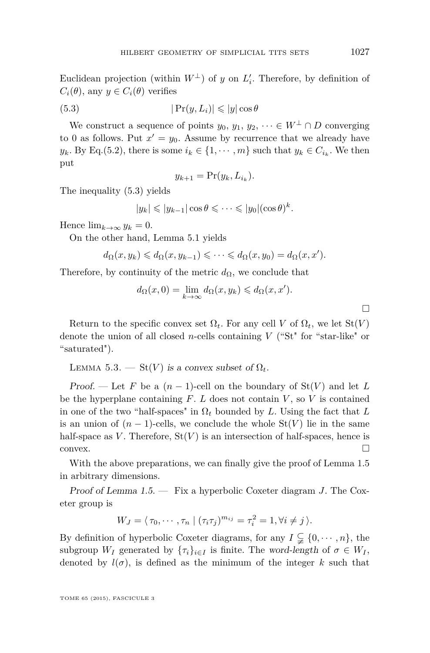Euclidean projection (within  $W^{\perp}$ ) of *y* on  $L'_{i}$ . Therefore, by definition of  $C_i(\theta)$ , any  $y \in C_i(\theta)$  verifies

(5.3) 
$$
|\Pr(y, L_i)| \leq |y| \cos \theta
$$

We construct a sequence of points  $y_0, y_1, y_2, \dots \in W^{\perp} \cap D$  converging to 0 as follows. Put  $x' = y_0$ . Assume by recurrence that we already have *y*<sub>*k*</sub>. By Eq.[\(5.2\)](#page-22-0), there is some  $i_k \in \{1, \dots, m\}$  such that  $y_k \in C_{i_k}$ . We then put

$$
y_{k+1} = \Pr(y_k, L_{i_k}).
$$

The inequality (5.3) yields

$$
|y_k| \leqslant |y_{k-1}| \cos \theta \leqslant \cdots \leqslant |y_0| (\cos \theta)^k.
$$

Hence  $\lim_{k\to\infty} y_k = 0$ .

On the other hand, Lemma [5.1](#page-21-0) yields

$$
d_{\Omega}(x, y_k) \leq d_{\Omega}(x, y_{k-1}) \leq \cdots \leq d_{\Omega}(x, y_0) = d_{\Omega}(x, x').
$$

Therefore, by continuity of the metric  $d_{\Omega}$ , we conclude that

$$
d_{\Omega}(x,0) = \lim_{k \to \infty} d_{\Omega}(x,y_k) \leq d_{\Omega}(x,x').
$$

Return to the specific convex set  $\Omega_t$ . For any cell *V* of  $\Omega_t$ , we let  $St(V)$ denote the union of all closed *n*-cells containing *V* ("St" for "star-like" or "saturated").

LEMMA 5.3. — St(V) is a convex subset of  $\Omega_t$ .

Proof. — Let F be a  $(n-1)$ -cell on the boundary of  $St(V)$  and let L be the hyperplane containing *F*. *L* does not contain *V* , so *V* is contained in one of the two "half-spaces" in  $\Omega_t$  bounded by *L*. Using the fact that *L* is an union of  $(n-1)$ -cells, we conclude the whole  $St(V)$  lie in the same half-space as V. Therefore,  $St(V)$  is an intersection of half-spaces, hence is  $\Box$ convex.

With the above preparations, we can finally give the proof of Lemma [1.5](#page-5-0) in arbitrary dimensions.

Proof of Lemma [1.5.](#page-5-0) — Fix a hyperbolic Coxeter diagram *J*. The Coxeter group is

$$
W_J = \langle \tau_0, \cdots, \tau_n | (\tau_i \tau_j)^{m_{ij}} = \tau_i^2 = 1, \forall i \neq j \rangle.
$$

By definition of hyperbolic Coxeter diagrams, for any  $I \subsetneq \{0, \dots, n\}$ , the subgroup  $W_I$  generated by  $\{\tau_i\}_{i \in I}$  is finite. The word-length of  $\sigma \in W_I$ , denoted by  $l(\sigma)$ , is defined as the minimum of the integer k such that

П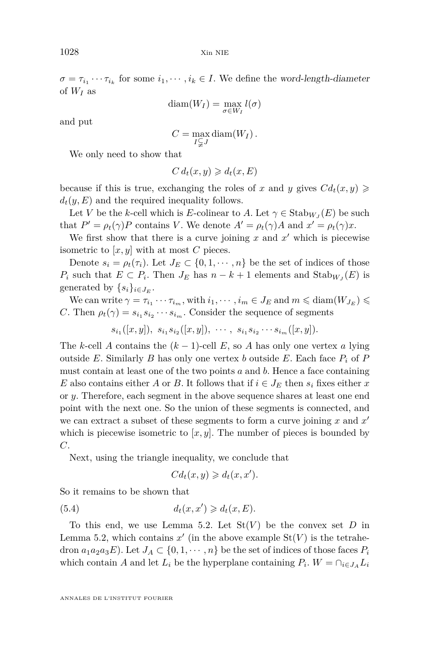<span id="page-24-0"></span> $\sigma = \tau_{i_1} \cdots \tau_{i_k}$  for some  $i_1, \cdots, i_k \in I$ . We define the word-length-diameter of  $W_I$  as

$$
diam(W_I) = \max_{\sigma \in W_I} l(\sigma)
$$

and put

$$
C = \max_{I \subsetneq J} \text{diam}(W_I) .
$$

We only need to show that

$$
C d_t(x, y) \geq d_t(x, E)
$$

because if this is true, exchanging the roles of *x* and *y* gives  $Cd_t(x, y) \geq$  $d_t(y, E)$  and the required inequality follows.

Let *V* be the *k*-cell which is *E*-colinear to *A*. Let  $\gamma \in \text{Stab}_{W_J}(E)$  be such that  $P' = \rho_t(\gamma)P$  contains *V*. We denote  $A' = \rho_t(\gamma)A$  and  $x' = \rho_t(\gamma)x$ .

We first show that there is a curve joining  $x$  and  $x'$  which is piecewise isometric to  $[x, y]$  with at most  $C$  pieces.

Denote  $s_i = \rho_t(\tau_i)$ . Let  $J_E \subset \{0, 1, \dots, n\}$  be the set of indices of those *P*<sup>*i*</sup> such that  $E \subset P_i$ . Then  $J_E$  has  $n - k + 1$  elements and  $\text{Stab}_{W_J}(E)$  is generated by  $\{s_i\}_{i \in J_E}$ .

We can write  $\gamma = \tau_{i_1} \cdots \tau_{i_m}$ , with  $i_1, \cdots, i_m \in J_E$  and  $m \leq \text{diam}(W_{J_E}) \leq$ *C*. Then  $\rho_t(\gamma) = s_{i_1} s_{i_2} \cdots s_{i_m}$ . Consider the sequence of segments

 $s_{i_1}([x,y]), s_{i_1}s_{i_2}([x,y]), \cdots, s_{i_1}s_{i_2}\cdots s_{i_m}([x,y]).$ 

The *k*-cell *A* contains the  $(k-1)$ -cell *E*, so *A* has only one vertex *a* lying outside *E*. Similarly *B* has only one vertex *b* outside *E*. Each face *P<sup>i</sup>* of *P* must contain at least one of the two points *a* and *b*. Hence a face containing *E* also contains either *A* or *B*. It follows that if  $i \in J_E$  then  $s_i$  fixes either *x* or *y*. Therefore, each segment in the above sequence shares at least one end point with the next one. So the union of these segments is connected, and we can extract a subset of these segments to form a curve joining x and  $x'$ which is piecewise isometric to  $[x, y]$ . The number of pieces is bounded by *C*.

Next, using the triangle inequality, we conclude that

$$
Cd_t(x,y) \geq d_t(x,x').
$$

So it remains to be shown that

(5.4)  $d_t(x, x') \geq d_t(x, E)$ .

To this end, we use Lemma [5.2.](#page-22-0) Let  $St(V)$  be the convex set *D* in Lemma [5.2,](#page-22-0) which contains  $x'$  (in the above example  $St(V)$  is the tetrahedron  $a_1a_2a_3E$ ). Let  $J_A \subset \{0,1,\dots,n\}$  be the set of indices of those faces  $P_i$ which contain *A* and let  $L_i$  be the hyperplane containing  $P_i$ .  $W = \bigcap_{i \in J_A} L_i$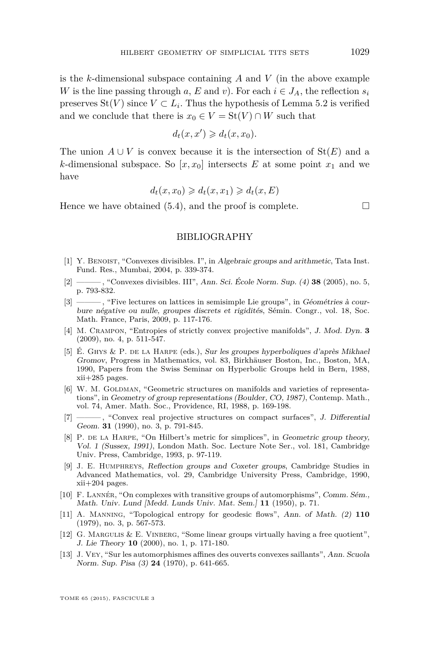<span id="page-25-0"></span>is the *k*-dimensional subspace containing *A* and *V* (in the above example *W* is the line passing through *a*, *E* and *v*). For each  $i \in J_A$ , the reflection  $s_i$ preserves  $St(V)$  since  $V \subset L_i$ . Thus the hypothesis of Lemma [5.2](#page-22-0) is verified and we conclude that there is  $x_0 \in V = \text{St}(V) \cap W$  such that

$$
d_t(x, x') \geq d_t(x, x_0).
$$

The union  $A \cup V$  is convex because it is the intersection of  $St(E)$  and a *k*-dimensional subspace. So  $[x, x_0]$  intersects *E* at some point  $x_1$  and we have

$$
d_t(x, x_0) \geq d_t(x, x_1) \geq d_t(x, E)
$$

Hence we have obtained  $(5.4)$ , and the proof is complete.

#### BIBLIOGRAPHY

- [1] Y. BENOIST, "Convexes divisibles. I", in Algebraic groups and arithmetic, Tata Inst. Fund. Res., Mumbai, 2004, p. 339-374.
- [2] ——— , "Convexes divisibles. III", Ann. Sci. École Norm. Sup. (4) **38** (2005), no. 5, p. 793-832.
- [3] ——— , "Five lectures on lattices in semisimple Lie groups", in Géométries à courbure négative ou nulle, groupes discrets et rigidités, Sémin. Congr., vol. 18, Soc. Math. France, Paris, 2009, p. 117-176.
- [4] M. Crampon, "Entropies of strictly convex projective manifolds", J. Mod. Dyn. **3** (2009), no. 4, p. 511-547.
- [5] É. Ghys & P. de la Harpe (eds.), Sur les groupes hyperboliques d'après Mikhael Gromov, Progress in Mathematics, vol. 83, Birkhäuser Boston, Inc., Boston, MA, 1990, Papers from the Swiss Seminar on Hyperbolic Groups held in Bern, 1988, xii+285 pages.
- [6] W. M. GOLDMAN, "Geometric structures on manifolds and varieties of representations", in Geometry of group representations (Boulder, CO, 1987), Contemp. Math., vol. 74, Amer. Math. Soc., Providence, RI, 1988, p. 169-198.
- [7] ——— , "Convex real projective structures on compact surfaces", J. Differential Geom. **31** (1990), no. 3, p. 791-845.
- [8] P. de la Harpe, "On Hilbert's metric for simplices", in Geometric group theory, Vol. 1 (Sussex, 1991), London Math. Soc. Lecture Note Ser., vol. 181, Cambridge Univ. Press, Cambridge, 1993, p. 97-119.
- [9] J. E. Humphreys, Reflection groups and Coxeter groups, Cambridge Studies in Advanced Mathematics, vol. 29, Cambridge University Press, Cambridge, 1990, xii+204 pages.
- [10] F. Lannér, "On complexes with transitive groups of automorphisms", Comm. Sém., Math. Univ. Lund [Medd. Lunds Univ. Mat. Sem.] **11** (1950), p. 71.
- [11] A. Manning, "Topological entropy for geodesic flows", Ann. of Math. (2) **110** (1979), no. 3, p. 567-573.
- [12] G. MARGULIS & E. VINBERG, "Some linear groups virtually having a free quotient", J. Lie Theory **10** (2000), no. 1, p. 171-180.
- [13] J. Vey, "Sur les automorphismes affines des ouverts convexes saillants", Ann. Scuola Norm. Sup. Pisa (3) **24** (1970), p. 641-665.